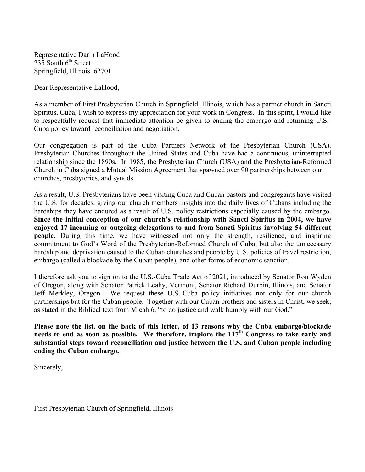Representative Darin LaHood  $235$  South  $6<sup>th</sup>$  Street Springfield, Illinois 62701

Dear Representative LaHood,

As a member of First Presbyterian Church in Springfield, Illinois, which has a partner church in Sancti Spiritus, Cuba, I wish to express my appreciation for your work in Congress. In this spirit, I would like to respectfully request that immediate attention be given to ending the embargo and returning U.S.- Cuba policy toward reconciliation and negotiation.

Our congregation is part of the Cuba Partners Network of the Presbyterian Church (USA). Presbyterian Churches throughout the United States and Cuba have had a continuous, uninterrupted relationship since the 1890s. In 1985, the Presbyterian Church (USA) and the Presbyterian-Reformed Church in Cuba signed a Mutual Mission Agreement that spawned over 90 partnerships between our churches, presbyteries, and synods.

As a result, U.S. Presbyterians have been visiting Cuba and Cuban pastors and congregants have visited the U.S. for decades, giving our church members insights into the daily lives of Cubans including the hardships they have endured as a result of U.S. policy restrictions especially caused by the embargo. **Since the initial conception of our church's relationship with Sancti Spiritus in 2004, we have enjoyed 17 incoming or outgoing delegations to and from Sancti Spiritus involving 54 different people.** During this time, we have witnessed not only the strength, resilience, and inspiring commitment to God's Word of the Presbyterian-Reformed Church of Cuba, but also the unnecessary hardship and deprivation caused to the Cuban churches and people by U.S. policies of travel restriction, embargo (called a blockade by the Cuban people), and other forms of economic sanction.

I therefore ask you to sign on to the U.S.-Cuba Trade Act of 2021, introduced by Senator Ron Wyden of Oregon, along with Senator Patrick Leahy, Vermont, Senator Richard Durbin, Illinois, and Senator Jeff Merkley, Oregon. We request these U.S.-Cuba policy initiatives not only for our church partnerships but for the Cuban people. Together with our Cuban brothers and sisters in Christ, we seek, as stated in the Biblical text from Micah 6, "to do justice and walk humbly with our God."

**Please note the list, on the back of this letter, of 13 reasons why the Cuba embargo/blockade**  needs to end as soon as possible. We therefore, implore the 117<sup>th</sup> Congress to take early and **substantial steps toward reconciliation and justice between the U.S. and Cuban people including ending the Cuban embargo.**

Sincerely,

First Presbyterian Church of Springfield, Illinois